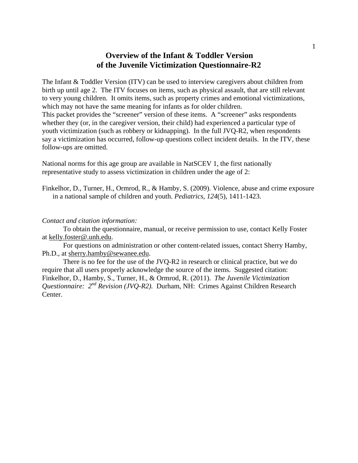# **Overview of the Infant & Toddler Version of the Juvenile Victimization Questionnaire-R2**

The Infant & Toddler Version (ITV) can be used to interview caregivers about children from birth up until age 2. The ITV focuses on items, such as physical assault, that are still relevant to very young children. It omits items, such as property crimes and emotional victimizations, which may not have the same meaning for infants as for older children. This packet provides the "screener" version of these items. A "screener" asks respondents whether they (or, in the caregiver version, their child) had experienced a particular type of youth victimization (such as robbery or kidnapping). In the full JVQ-R2, when respondents say a victimization has occurred, follow-up questions collect incident details. In the ITV, these follow-ups are omitted.

National norms for this age group are available in NatSCEV 1, the first nationally representative study to assess victimization in children under the age of 2:

Finkelhor, D., Turner, H., Ormrod, R., & Hamby, S. (2009). Violence, abuse and crime exposure in a national sample of children and youth. *Pediatrics, 124*(5), 1411-1423.

#### *Contact and citation information:*

To obtain the questionnaire, manual, or receive permission to use, contact Kelly Foster at [kelly.foster@.unh.edu.](mailto:slhamby@cisunix.unh.edu)

 For questions on administration or other content-related issues, contact Sherry Hamby, Ph.D., at [sherry.hamby@sewanee.edu.](mailto:sherry.hamby@sewanee.edu)

 There is no fee for the use of the JVQ-R2 in research or clinical practice, but we do require that all users properly acknowledge the source of the items. Suggested citation: Finkelhor, D., Hamby, S., Turner, H., & Ormrod, R. (2011). *The Juvenile Victimization Questionnaire: 2<sup>nd</sup> Revision (JVQ-R2).* Durham, NH: Crimes Against Children Research Center.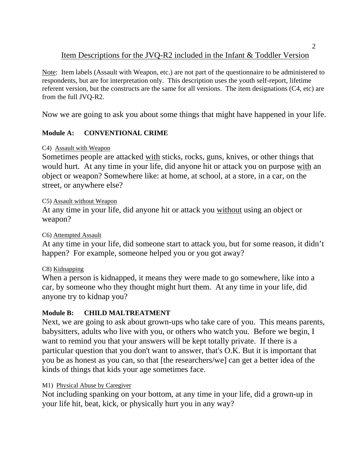# Item Descriptions for the JVQ-R2 included in the Infant & Toddler Version

Note: Item labels (Assault with Weapon, etc.) are not part of the questionnaire to be administered to respondents, but are for interpretation only. This description uses the youth self-report, lifetime referent version, but the constructs are the same for all versions. The item designations (C4, etc) are from the full JVQ-R2.

Now we are going to ask you about some things that might have happened in your life.

# **Module A: CONVENTIONAL CRIME**

### C4) Assault with Weapon

Sometimes people are attacked with sticks, rocks, guns, knives, or other things that would hurt. At any time in your life, did anyone hit or attack you on purpose with an object or weapon? Somewhere like: at home, at school, at a store, in a car, on the street, or anywhere else?

# C5) Assault without Weapon

At any time in your life, did anyone hit or attack you without using an object or weapon?

# C6) Attempted Assault

At any time in your life, did someone start to attack you, but for some reason, it didn't happen? For example, someone helped you or you got away?

# C8) Kidnapping

When a person is kidnapped, it means they were made to go somewhere, like into a car, by someone who they thought might hurt them. At any time in your life, did anyone try to kidnap you?

# **Module B: CHILD MALTREATMENT**

Next, we are going to ask about grown-ups who take care of you. This means parents, babysitters, adults who live with you, or others who watch you. Before we begin, I want to remind you that your answers will be kept totally private. If there is a particular question that you don't want to answer, that's O.K. But it is important that you be as honest as you can, so that [the researchers/we] can get a better idea of the kinds of things that kids your age sometimes face.

# M1) Physical Abuse by Caregiver

Not including spanking on your bottom, at any time in your life, did a grown-up in your life hit, beat, kick, or physically hurt you in any way?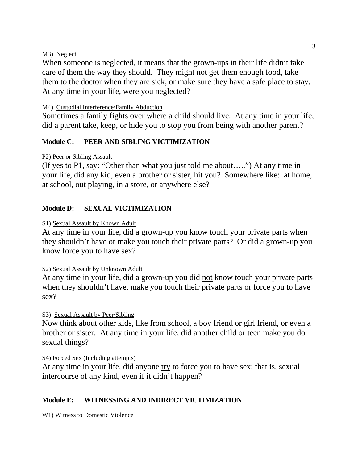#### M3) Neglect

When someone is neglected, it means that the grown-ups in their life didn't take care of them the way they should. They might not get them enough food, take them to the doctor when they are sick, or make sure they have a safe place to stay. At any time in your life, were you neglected?

# M4) Custodial Interference/Family Abduction

Sometimes a family fights over where a child should live. At any time in your life, did a parent take, keep, or hide you to stop you from being with another parent?

# **Module C: PEER AND SIBLING VICTIMIZATION**

# P2) Peer or Sibling Assault

(If yes to P1, say: "Other than what you just told me about…..") At any time in your life, did any kid, even a brother or sister, hit you? Somewhere like: at home, at school, out playing, in a store, or anywhere else?

# **Module D: SEXUAL VICTIMIZATION**

# S1) Sexual Assault by Known Adult

At any time in your life, did a grown-up you know touch your private parts when they shouldn't have or make you touch their private parts? Or did a grown-up you know force you to have sex?

# S2) Sexual Assault by Unknown Adult

At any time in your life, did a grown-up you did not know touch your private parts when they shouldn't have, make you touch their private parts or force you to have sex?

# S3) Sexual Assault by Peer/Sibling

Now think about other kids, like from school, a boy friend or girl friend, or even a brother or sister. At any time in your life, did another child or teen make you do sexual things?

S4) Forced Sex (Including attempts)

At any time in your life, did anyone try to force you to have sex; that is, sexual intercourse of any kind, even if it didn't happen?

# **Module E: WITNESSING AND INDIRECT VICTIMIZATION**

W1) Witness to Domestic Violence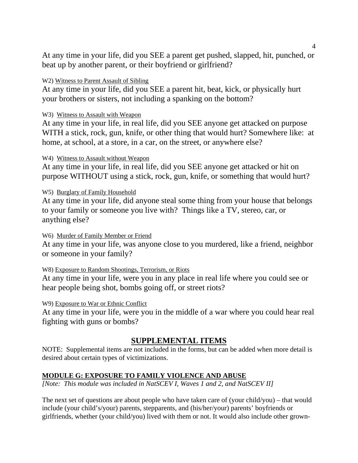At any time in your life, did you SEE a parent get pushed, slapped, hit, punched, or beat up by another parent, or their boyfriend or girlfriend?

### W2) Witness to Parent Assault of Sibling

At any time in your life, did you SEE a parent hit, beat, kick, or physically hurt your brothers or sisters, not including a spanking on the bottom?

### W3) Witness to Assault with Weapon

At any time in your life, in real life, did you SEE anyone get attacked on purpose WITH a stick, rock, gun, knife, or other thing that would hurt? Somewhere like: at home, at school, at a store, in a car, on the street, or anywhere else?

### W4) Witness to Assault without Weapon

At any time in your life, in real life, did you SEE anyone get attacked or hit on purpose WITHOUT using a stick, rock, gun, knife, or something that would hurt?

### W5) Burglary of Family Household

At any time in your life, did anyone steal some thing from your house that belongs to your family or someone you live with? Things like a TV, stereo, car, or anything else?

#### W6) Murder of Family Member or Friend

At any time in your life, was anyone close to you murdered, like a friend, neighbor or someone in your family?

# W8) Exposure to Random Shootings, Terrorism, or Riots

At any time in your life, were you in any place in real life where you could see or hear people being shot, bombs going off, or street riots?

# W9) Exposure to War or Ethnic Conflict

At any time in your life, were you in the middle of a war where you could hear real fighting with guns or bombs?

# **SUPPLEMENTAL ITEMS**

NOTE: Supplemental items are not included in the forms, but can be added when more detail is desired about certain types of victimizations.

# **MODULE G: EXPOSURE TO FAMILY VIOLENCE AND ABUSE**

*[Note: This module was included in NatSCEV I, Waves 1 and 2, and NatSCEV II]* 

The next set of questions are about people who have taken care of (your child/you) – that would include (your child's/your) parents, stepparents, and (his/her/your) parents' boyfriends or girlfriends, whether (your child/you) lived with them or not. It would also include other grown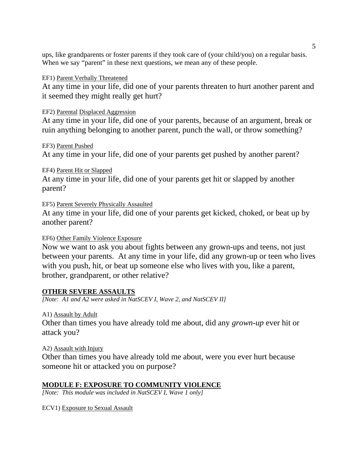ups, like grandparents or foster parents if they took care of (your child/you) on a regular basis. When we say "parent" in these next questions, we mean any of these people.

#### EF1) Parent Verbally Threatened

At any time in your life, did one of your parents threaten to hurt another parent and it seemed they might really get hurt?

### EF2) Parental Displaced Aggression

At any time in your life, did one of your parents, because of an argument, break or ruin anything belonging to another parent, punch the wall, or throw something?

# EF3) Parent Pushed

At any time in your life, did one of your parents get pushed by another parent?

# EF4) Parent Hit or Slapped

At any time in your life, did one of your parents get hit or slapped by another parent?

EF5) Parent Severely Physically Assaulted

At any time in your life, did one of your parents get kicked, choked, or beat up by another parent?

#### EF6) Other Family Violence Exposure

Now we want to ask you about fights between any grown-ups and teens, not just between your parents. At any time in your life, did any grown-up or teen who lives with you push, hit, or beat up someone else who lives with you, like a parent, brother, grandparent, or other relative?

# **OTHER SEVERE ASSAULTS**

*[Note: A1 and A2 were asked in NatSCEV I, Wave 2, and NatSCEV II]* 

#### A1) Assault by Adult

Other than times you have already told me about, did any *grown-up* ever hit or attack you?

#### A2) Assault with Injury

Other than times you have already told me about, were you ever hurt because someone hit or attacked you on purpose?

# **MODULE F: EXPOSURE TO COMMUNITY VIOLENCE**

*[Note: This module was included in NatSCEV I, Wave 1 only]* 

ECV1) Exposure to Sexual Assault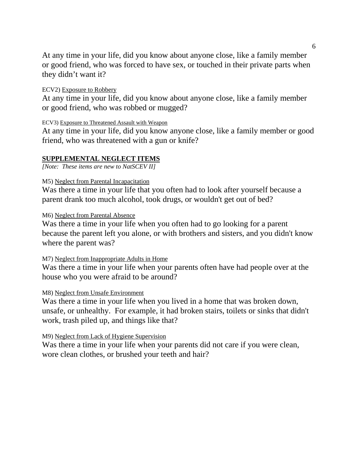At any time in your life, did you know about anyone close, like a family member or good friend, who was forced to have sex, or touched in their private parts when they didn't want it?

#### ECV2) Exposure to Robbery

At any time in your life, did you know about anyone close, like a family member or good friend, who was robbed or mugged?

#### ECV3) Exposure to Threatened Assault with Weapon

At any time in your life, did you know anyone close, like a family member or good friend, who was threatened with a gun or knife?

# **SUPPLEMENTAL NEGLECT ITEMS**

*[Note: These items are new to NatSCEV II]* 

#### M5) Neglect from Parental Incapacitation

Was there a time in your life that you often had to look after yourself because a parent drank too much alcohol, took drugs, or wouldn't get out of bed?

#### M6) Neglect from Parental Absence

Was there a time in your life when you often had to go looking for a parent because the parent left you alone, or with brothers and sisters, and you didn't know where the parent was?

#### M7) Neglect from Inappropriate Adults in Home

Was there a time in your life when your parents often have had people over at the house who you were afraid to be around?

#### M8) Neglect from Unsafe Environment

Was there a time in your life when you lived in a home that was broken down, unsafe, or unhealthy. For example, it had broken stairs, toilets or sinks that didn't work, trash piled up, and things like that?

#### M9) Neglect from Lack of Hygiene Supervision

Was there a time in your life when your parents did not care if you were clean, wore clean clothes, or brushed your teeth and hair?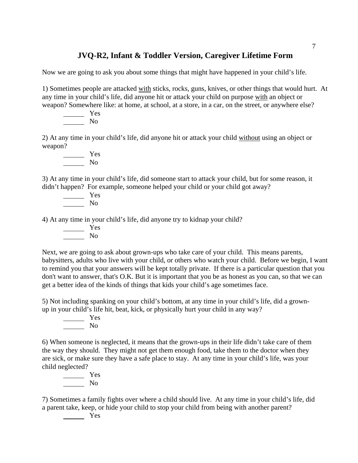# **JVQ-R2, Infant & Toddler Version, Caregiver Lifetime Form**

Now we are going to ask you about some things that might have happened in your child's life.

1) Sometimes people are attacked with sticks, rocks, guns, knives, or other things that would hurt. At any time in your child's life, did anyone hit or attack your child on purpose with an object or weapon? Somewhere like: at home, at school, at a store, in a car, on the street, or anywhere else?

 Yes No

2) At any time in your child's life, did anyone hit or attack your child without using an object or weapon?

 Yes No

3) At any time in your child's life, did someone start to attack your child, but for some reason, it didn't happen? For example, someone helped your child or your child got away?

 Yes No

4) At any time in your child's life, did anyone try to kidnap your child?

 Yes No

Next, we are going to ask about grown-ups who take care of your child. This means parents, babysitters, adults who live with your child, or others who watch your child. Before we begin, I want to remind you that your answers will be kept totally private. If there is a particular question that you don't want to answer, that's O.K. But it is important that you be as honest as you can, so that we can get a better idea of the kinds of things that kids your child's age sometimes face.

5) Not including spanking on your child's bottom, at any time in your child's life, did a grownup in your child's life hit, beat, kick, or physically hurt your child in any way?

 Yes No

6) When someone is neglected, it means that the grown-ups in their life didn't take care of them the way they should. They might not get them enough food, take them to the doctor when they are sick, or make sure they have a safe place to stay. At any time in your child's life, was your child neglected?

 Yes No

7) Sometimes a family fights over where a child should live. At any time in your child's life, did a parent take, keep, or hide your child to stop your child from being with another parent?

Yes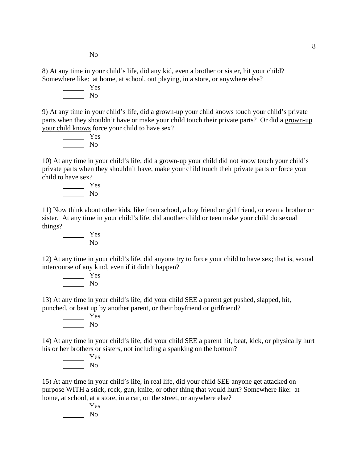No

8) At any time in your child's life, did any kid, even a brother or sister, hit your child? Somewhere like: at home, at school, out playing, in a store, or anywhere else?

Yes No

9) At any time in your child's life, did a grown-up your child knows touch your child's private parts when they shouldn't have or make your child touch their private parts? Or did a grown-up your child knows force your child to have sex?

 Yes No

10) At any time in your child's life, did a grown-up your child did not know touch your child's private parts when they shouldn't have, make your child touch their private parts or force your child to have sex?

 Yes No

11) Now think about other kids, like from school, a boy friend or girl friend, or even a brother or sister. At any time in your child's life, did another child or teen make your child do sexual things?

 Yes No

12) At any time in your child's life, did anyone try to force your child to have sex; that is, sexual intercourse of any kind, even if it didn't happen?

 Yes No

13) At any time in your child's life, did your child SEE a parent get pushed, slapped, hit, punched, or beat up by another parent, or their boyfriend or girlfriend?

 Yes No

14) At any time in your child's life, did your child SEE a parent hit, beat, kick, or physically hurt his or her brothers or sisters, not including a spanking on the bottom?

 Yes No

15) At any time in your child's life, in real life, did your child SEE anyone get attacked on purpose WITH a stick, rock, gun, knife, or other thing that would hurt? Somewhere like: at home, at school, at a store, in a car, on the street, or anywhere else?

Yes No